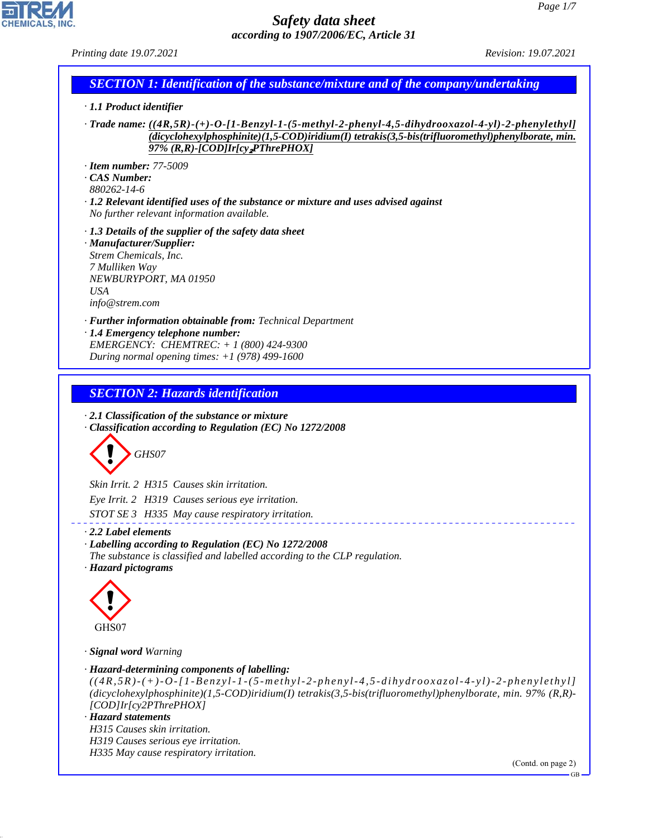*Printing date 19.07.2021 Revision: 19.07.2021*

#### *SECTION 1: Identification of the substance/mixture and of the company/undertaking*

*· 1.1 Product identifier*

*· Trade name: ((4R,5R)-(+)-O-[1-Benzyl-1-(5-methyl-2-phenyl-4,5-dihydrooxazol-4-yl)-2-phenylethyl] (dicyclohexylphosphinite)(1,5-COD)iridium(I) tetrakis(3,5-bis(trifluoromethyl)phenylborate, min. 97% (R,R)-[COD]Ir[cy*₂*PThrePHOX]*

*· Item number: 77-5009*

*· CAS Number:*

*880262-14-6*

*· 1.2 Relevant identified uses of the substance or mixture and uses advised against No further relevant information available.*

*· 1.3 Details of the supplier of the safety data sheet*

*· Manufacturer/Supplier: Strem Chemicals, Inc. 7 Mulliken Way NEWBURYPORT, MA 01950 USA info@strem.com*

*· Further information obtainable from: Technical Department · 1.4 Emergency telephone number: EMERGENCY: CHEMTREC: + 1 (800) 424-9300 During normal opening times: +1 (978) 499-1600*

# *SECTION 2: Hazards identification*

*· 2.1 Classification of the substance or mixture · Classification according to Regulation (EC) No 1272/2008*



*Skin Irrit. 2 H315 Causes skin irritation. Eye Irrit. 2 H319 Causes serious eye irritation. STOT SE 3 H335 May cause respiratory irritation.*

#### *· 2.2 Label elements*

*· Labelling according to Regulation (EC) No 1272/2008 The substance is classified and labelled according to the CLP regulation. · Hazard pictograms*



*· Signal word Warning*

```
· Hazard-determining components of labelling:
```
*((4R,5R)-(+)-O-[1-Benzyl-1-(5-methyl-2-pheny l-4,5-dihydrooxazol-4-yl)-2-phenylethyl] (dicyclohexylphosphinite)(1,5-COD)iridium(I) tetrakis(3,5-bis(trifluoromethyl)phenylborate, min. 97% (R,R)- [COD]Ir[cy2PThrePHOX]*

#### *· Hazard statements*

44.1.1

*H315 Causes skin irritation. H319 Causes serious eye irritation.*

*H335 May cause respiratory irritation.*

(Contd. on page 2)

GB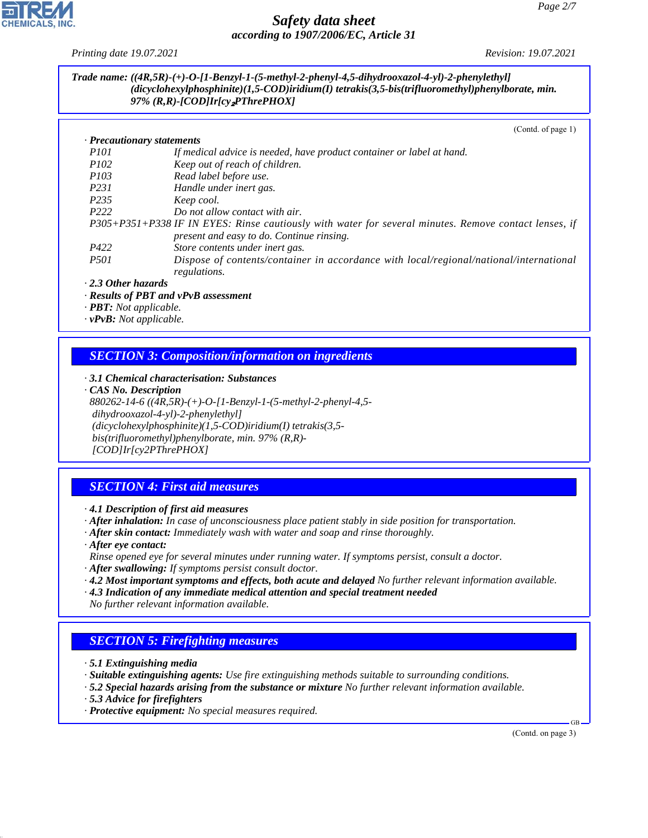

*Printing date 19.07.2021 Revision: 19.07.2021*

#### *Trade name: ((4R,5R)-(+)-O-[1-Benzyl-1-(5-methyl-2-phenyl-4,5-dihydrooxazol-4-yl)-2-phenylethyl] (dicyclohexylphosphinite)(1,5-COD)iridium(I) tetrakis(3,5-bis(trifluoromethyl)phenylborate, min. 97% (R,R)-[COD]Ir[cy*₂*PThrePHOX]*

(Contd. of page 1)

| $\cdot$ Precautionary statements                                                                      |                                                                                                        |  |  |
|-------------------------------------------------------------------------------------------------------|--------------------------------------------------------------------------------------------------------|--|--|
| <i>P101</i>                                                                                           | If medical advice is needed, have product container or label at hand.                                  |  |  |
| <i>P102</i>                                                                                           | Keep out of reach of children.                                                                         |  |  |
| <i>P103</i>                                                                                           | Read label before use.                                                                                 |  |  |
| <i>P231</i>                                                                                           | Handle under inert gas.                                                                                |  |  |
| P <sub>235</sub>                                                                                      | Keep cool.                                                                                             |  |  |
| P <sub>222</sub>                                                                                      | Do not allow contact with air.                                                                         |  |  |
| P305+P351+P338 IF IN EYES: Rinse cautiously with water for several minutes. Remove contact lenses, if |                                                                                                        |  |  |
|                                                                                                       | present and easy to do. Continue rinsing.                                                              |  |  |
| P422                                                                                                  | Store contents under inert gas.                                                                        |  |  |
| <i>P501</i>                                                                                           | Dispose of contents/container in accordance with local/regional/national/international<br>regulations. |  |  |

*· 2.3 Other hazards*

- *· Results of PBT and vPvB assessment*
- *· PBT: Not applicable.*
- *· vPvB: Not applicable.*

## *SECTION 3: Composition/information on ingredients*

*· 3.1 Chemical characterisation: Substances*

*· CAS No. Description 880262-14-6 ((4R,5R)-(+)-O-[1-Benzyl-1-(5-methyl-2-phenyl-4,5 dihydrooxazol-4-yl)-2-phenylethyl] (dicyclohexylphosphinite)(1,5-COD)iridium(I) tetrakis(3,5 bis(trifluoromethyl)phenylborate, min. 97% (R,R)- [COD]Ir[cy2PThrePHOX]*

# *SECTION 4: First aid measures*

*· 4.1 Description of first aid measures*

*· After inhalation: In case of unconsciousness place patient stably in side position for transportation.*

- *· After skin contact: Immediately wash with water and soap and rinse thoroughly.*
- *· After eye contact:*
- *Rinse opened eye for several minutes under running water. If symptoms persist, consult a doctor.*
- *· After swallowing: If symptoms persist consult doctor.*
- *· 4.2 Most important symptoms and effects, both acute and delayed No further relevant information available.*
- *· 4.3 Indication of any immediate medical attention and special treatment needed No further relevant information available.*

# *SECTION 5: Firefighting measures*

*· 5.1 Extinguishing media*

- *· Suitable extinguishing agents: Use fire extinguishing methods suitable to surrounding conditions.*
- *· 5.2 Special hazards arising from the substance or mixture No further relevant information available.*
- *· 5.3 Advice for firefighters*

44.1.1

*· Protective equipment: No special measures required.*

(Contd. on page 3)

GB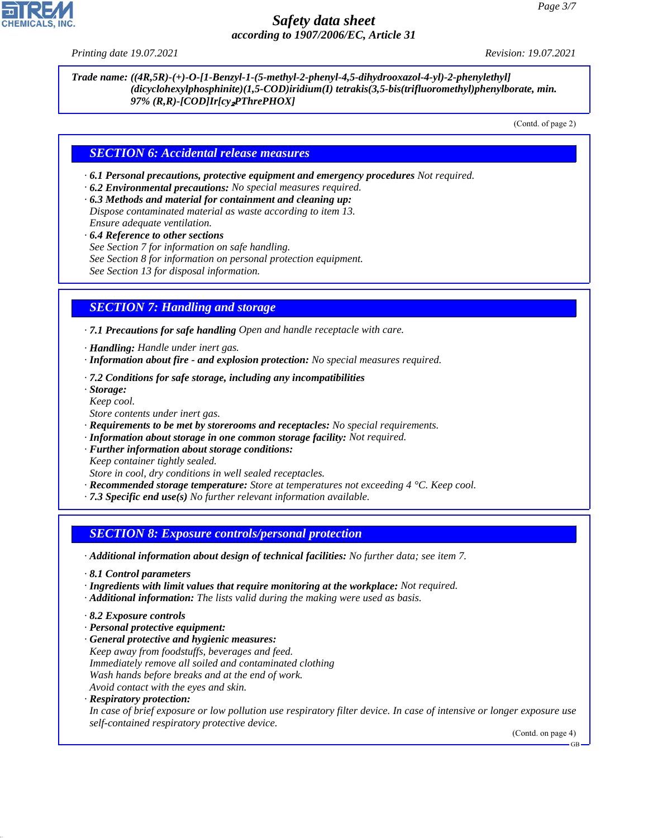

*Printing date 19.07.2021 Revision: 19.07.2021*

*Trade name: ((4R,5R)-(+)-O-[1-Benzyl-1-(5-methyl-2-phenyl-4,5-dihydrooxazol-4-yl)-2-phenylethyl] (dicyclohexylphosphinite)(1,5-COD)iridium(I) tetrakis(3,5-bis(trifluoromethyl)phenylborate, min. 97% (R,R)-[COD]Ir[cy*₂*PThrePHOX]*

(Contd. of page 2)

#### *SECTION 6: Accidental release measures*

*· 6.1 Personal precautions, protective equipment and emergency procedures Not required.*

*· 6.2 Environmental precautions: No special measures required.*

*· 6.3 Methods and material for containment and cleaning up: Dispose contaminated material as waste according to item 13. Ensure adequate ventilation.*

*· 6.4 Reference to other sections*

*See Section 7 for information on safe handling.*

*See Section 8 for information on personal protection equipment.*

*See Section 13 for disposal information.*

## *SECTION 7: Handling and storage*

*· 7.1 Precautions for safe handling Open and handle receptacle with care.*

*· Handling: Handle under inert gas.*

- *· Information about fire and explosion protection: No special measures required.*
- *· 7.2 Conditions for safe storage, including any incompatibilities*

*· Storage:*

*Keep cool. Store contents under inert gas.*

- *· Requirements to be met by storerooms and receptacles: No special requirements.*
- *· Information about storage in one common storage facility: Not required.*

*· Further information about storage conditions:*

*Keep container tightly sealed.*

*Store in cool, dry conditions in well sealed receptacles.*

- *· Recommended storage temperature: Store at temperatures not exceeding 4 °C. Keep cool.*
- *· 7.3 Specific end use(s) No further relevant information available.*

#### *SECTION 8: Exposure controls/personal protection*

*· Additional information about design of technical facilities: No further data; see item 7.*

- *· 8.1 Control parameters*
- *· Ingredients with limit values that require monitoring at the workplace: Not required.*
- *· Additional information: The lists valid during the making were used as basis.*
- *· 8.2 Exposure controls*
- *· Personal protective equipment:*
- *· General protective and hygienic measures: Keep away from foodstuffs, beverages and feed. Immediately remove all soiled and contaminated clothing Wash hands before breaks and at the end of work. Avoid contact with the eyes and skin.*
- *· Respiratory protection:*

44.1.1

*In case of brief exposure or low pollution use respiratory filter device. In case of intensive or longer exposure use self-contained respiratory protective device.*

(Contd. on page 4)

GB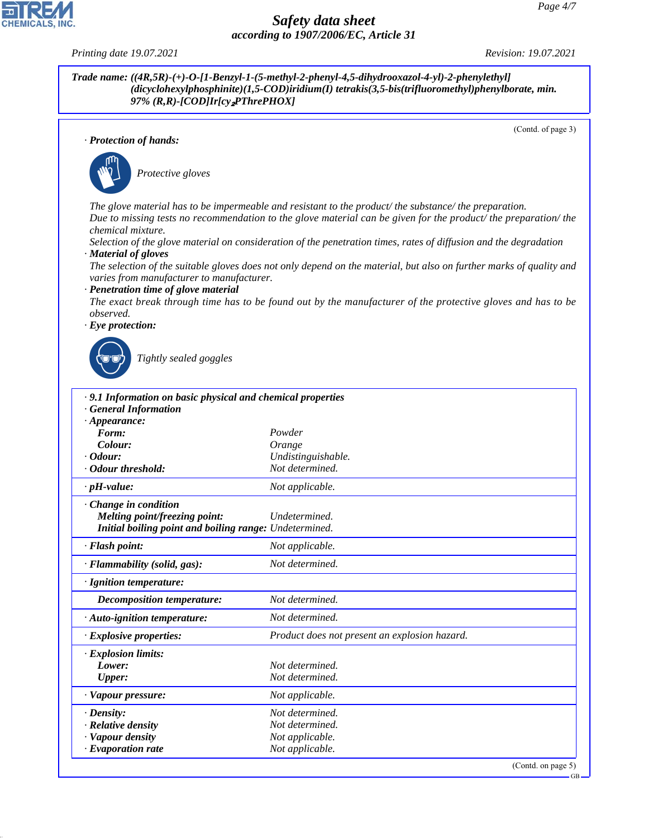(Contd. of page 3)

(Contd. on page 5)

GB



44.1.1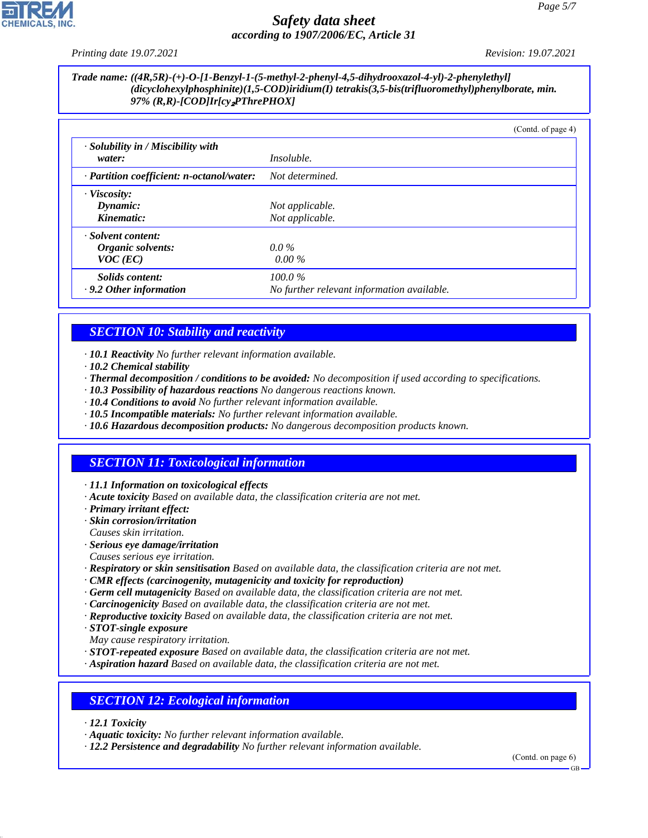

*Printing date 19.07.2021 Revision: 19.07.2021*

#### *Trade name: ((4R,5R)-(+)-O-[1-Benzyl-1-(5-methyl-2-phenyl-4,5-dihydrooxazol-4-yl)-2-phenylethyl] (dicyclohexylphosphinite)(1,5-COD)iridium(I) tetrakis(3,5-bis(trifluoromethyl)phenylborate, min. 97% (R,R)-[COD]Ir[cy*₂*PThrePHOX]*

|                                                       | (Contd. of page 4)                                      |  |
|-------------------------------------------------------|---------------------------------------------------------|--|
| · Solubility in / Miscibility with<br>water:          | <i>Insoluble.</i>                                       |  |
| · Partition coefficient: n-octanol/water:             | Not determined.                                         |  |
| $\cdot$ Viscosity:<br>Dynamic:<br>Kinematic:          | Not applicable.<br>Not applicable.                      |  |
| · Solvent content:<br>Organic solvents:<br>$VOC$ (EC) | $0.0\%$<br>$0.00\%$                                     |  |
| Solids content:<br>$\cdot$ 9.2 Other information      | $100.0\%$<br>No further relevant information available. |  |

# *SECTION 10: Stability and reactivity*

- *· 10.1 Reactivity No further relevant information available.*
- *· 10.2 Chemical stability*
- *· Thermal decomposition / conditions to be avoided: No decomposition if used according to specifications.*
- *· 10.3 Possibility of hazardous reactions No dangerous reactions known.*
- *· 10.4 Conditions to avoid No further relevant information available.*
- *· 10.5 Incompatible materials: No further relevant information available.*
- *· 10.6 Hazardous decomposition products: No dangerous decomposition products known.*

# *SECTION 11: Toxicological information*

- *· 11.1 Information on toxicological effects*
- *· Acute toxicity Based on available data, the classification criteria are not met.*
- *· Primary irritant effect:*
- *· Skin corrosion/irritation*
- *Causes skin irritation.*
- *· Serious eye damage/irritation*
- *Causes serious eye irritation.*
- *· Respiratory or skin sensitisation Based on available data, the classification criteria are not met.*
- *· CMR effects (carcinogenity, mutagenicity and toxicity for reproduction)*
- *· Germ cell mutagenicity Based on available data, the classification criteria are not met.*
- *· Carcinogenicity Based on available data, the classification criteria are not met.*
- *· Reproductive toxicity Based on available data, the classification criteria are not met.*
- *· STOT-single exposure*
- *May cause respiratory irritation.*
- *· STOT-repeated exposure Based on available data, the classification criteria are not met.*
- *· Aspiration hazard Based on available data, the classification criteria are not met.*

# *SECTION 12: Ecological information*

*· 12.1 Toxicity*

44.1.1

- *· Aquatic toxicity: No further relevant information available.*
- *· 12.2 Persistence and degradability No further relevant information available.*

(Contd. on page 6)

GB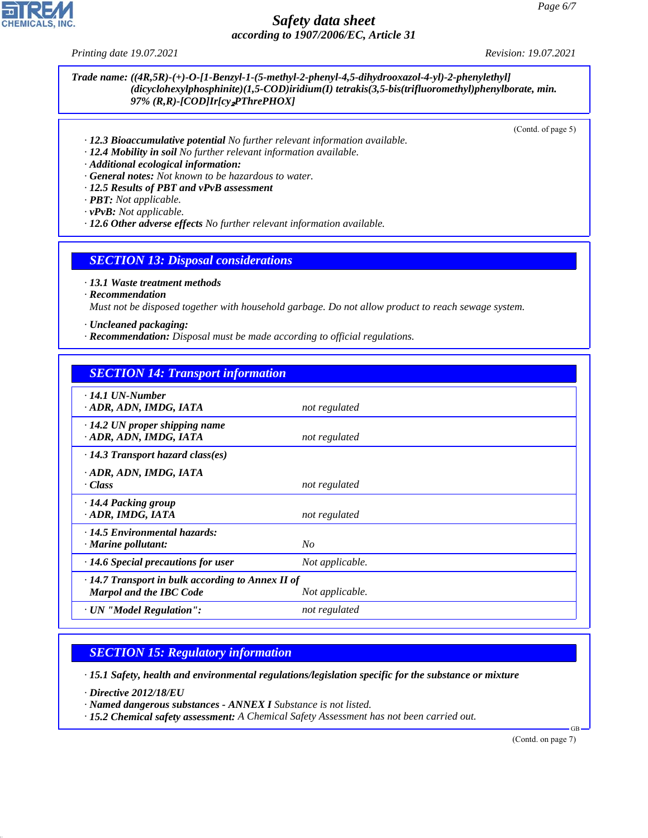

*Printing date 19.07.2021 Revision: 19.07.2021*

#### *Trade name: ((4R,5R)-(+)-O-[1-Benzyl-1-(5-methyl-2-phenyl-4,5-dihydrooxazol-4-yl)-2-phenylethyl] (dicyclohexylphosphinite)(1,5-COD)iridium(I) tetrakis(3,5-bis(trifluoromethyl)phenylborate, min. 97% (R,R)-[COD]Ir[cy*₂*PThrePHOX]*

(Contd. of page 5)

- *· 12.3 Bioaccumulative potential No further relevant information available.*
- *· 12.4 Mobility in soil No further relevant information available.*
- *· Additional ecological information:*
- *· General notes: Not known to be hazardous to water.*
- *· 12.5 Results of PBT and vPvB assessment*
- *· PBT: Not applicable.*
- *· vPvB: Not applicable.*
- *· 12.6 Other adverse effects No further relevant information available.*

#### *SECTION 13: Disposal considerations*

*· 13.1 Waste treatment methods*

*· Recommendation*

*Must not be disposed together with household garbage. Do not allow product to reach sewage system.*

*· Uncleaned packaging:*

*· Recommendation: Disposal must be made according to official regulations.*

#### *SECTION 14: Transport information*

| $\cdot$ 14.1 UN-Number                                  |                 |  |  |
|---------------------------------------------------------|-----------------|--|--|
| ADR, ADN, IMDG, IATA                                    | not regulated   |  |  |
| $\cdot$ 14.2 UN proper shipping name                    |                 |  |  |
| · ADR, ADN, IMDG, IATA                                  | not regulated   |  |  |
| $\cdot$ 14.3 Transport hazard class(es)                 |                 |  |  |
| · ADR, ADN, IMDG, IATA                                  |                 |  |  |
| · Class                                                 | not regulated   |  |  |
| · 14.4 Packing group                                    |                 |  |  |
| · ADR, IMDG, IATA                                       | not regulated   |  |  |
| $\cdot$ 14.5 Environmental hazards:                     |                 |  |  |
| $\cdot$ Marine pollutant:                               | N <sub>O</sub>  |  |  |
| $\cdot$ 14.6 Special precautions for user               | Not applicable. |  |  |
| $\cdot$ 14.7 Transport in bulk according to Annex II of |                 |  |  |
| <b>Marpol and the IBC Code</b>                          | Not applicable. |  |  |
| · UN "Model Regulation":                                | not regulated   |  |  |

#### *SECTION 15: Regulatory information*

*· 15.1 Safety, health and environmental regulations/legislation specific for the substance or mixture*

*· Directive 2012/18/EU*

44.1.1

- *· Named dangerous substances ANNEX I Substance is not listed.*
- *· 15.2 Chemical safety assessment: A Chemical Safety Assessment has not been carried out.*

(Contd. on page 7)

GB